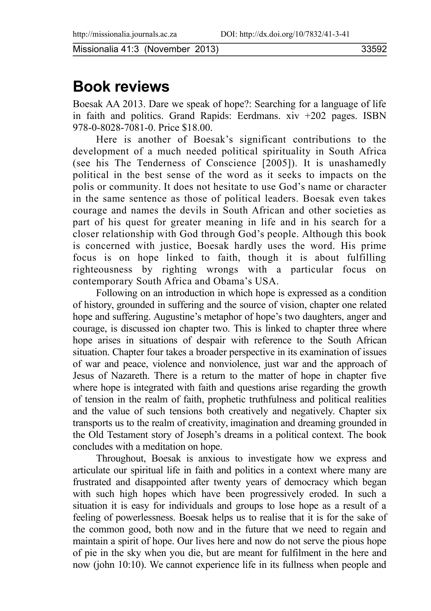Missionalia 41:3 (November 2013) 33592

## **Book reviews**

Boesak AA 2013. Dare we speak of hope?: Searching for a language of life in faith and politics. Grand Rapids: Eerdmans. xiv +202 pages. ISBN 978-0-8028-7081-0. Price \$18.00.

Here is another of Boesak's significant contributions to the development of a much needed political spirituality in South Africa (see his The Tenderness of Conscience  $[2005]$ ). It is unashamedly political in the best sense of the word as it seeks to impacts on the polis or community. It does not hesitate to use God's name or character in the same sentence as those of political leaders. Boesak even takes courage and names the devils in South African and other societies as part of his quest for greater meaning in life and in his search for a closer relationship with God through God's people. Although this book is concerned with justice, Boesak hardly uses the word. His prime focus is on hope linked to faith, though it is about fulfilling righteousness by righting wrongs with a particular focus on contemporary South Africa and Obama's USA.

Following on an introduction in which hope is expressed as a condition of history, grounded in suffering and the source of vision, chapter one related hope and suffering. Augustine's metaphor of hope's two daughters, anger and courage, is discussed ion chapter two. This is linked to chapter three where hope arises in situations of despair with reference to the South African situation. Chapter four takes a broader perspective in its examination of issues of war and peace, violence and nonviolence, just war and the approach of Jesus of Nazareth. There is a return to the matter of hope in chapter five where hope is integrated with faith and questions arise regarding the growth of tension in the realm of faith, prophetic truthfulness and political realities and the value of such tensions both creatively and negatively. Chapter six transports us to the realm of creativity, imagination and dreaming grounded in the Old Testament story of Joseph's dreams in a political context. The book concludes with a meditation on hope.

Throughout, Boesak is anxious to investigate how we express and articulate our spiritual life in faith and politics in a context where many are frustrated and disappointed after twenty years of democracy which began with such high hopes which have been progressively eroded. In such a situation it is easy for individuals and groups to lose hope as a result of a feeling of powerlessness. Boesak helps us to realise that it is for the sake of the common good, both now and in the future that we need to regain and maintain a spirit of hope. Our lives here and now do not serve the pious hope of pie in the sky when you die, but are meant for fulfilment in the here and now (john 10:10). We cannot experience life in its fullness when people and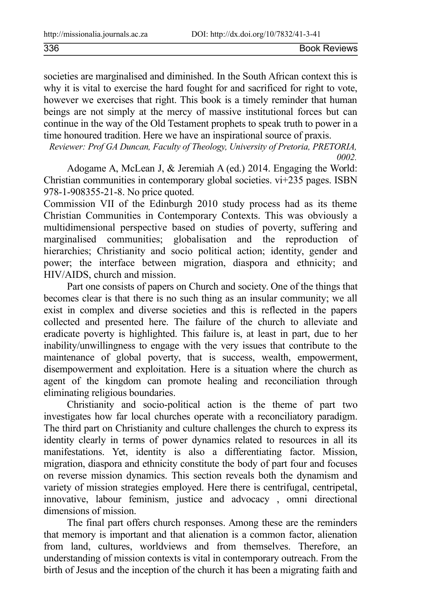| 336 | <b>Book Reviews</b> |
|-----|---------------------|
|     |                     |

societies are marginalised and diminished. In the South African context this is why it is vital to exercise the hard fought for and sacrificed for right to vote, however we exercises that right. This book is a timely reminder that human beings are not simply at the mercy of massive institutional forces but can continue in the way of the Old Testament prophets to speak truth to power in a time honoured tradition. Here we have an inspirational source of praxis.

*Reviewer: Prof GA Duncan, Faculty of Theology, University of Pretoria, PRETORIA, 0002.*

Adogame A, McLean J, & Jeremiah A (ed.) 2014. Engaging the World: Christian communities in contemporary global societies. vi+235 pages. ISBN 978-1-908355-21-8. No price quoted.

Commission VII of the Edinburgh 2010 study process had as its theme Christian Communities in Contemporary Contexts. This was obviously a multidimensional perspective based on studies of poverty, suffering and marginalised communities; globalisation and the reproduction of hierarchies; Christianity and socio political action; identity, gender and power; the interface between migration, diaspora and ethnicity; and HIV/AIDS, church and mission.

Part one consists of papers on Church and society. One of the things that becomes clear is that there is no such thing as an insular community; we all exist in complex and diverse societies and this is reflected in the papers collected and presented here. The failure of the church to alleviate and eradicate poverty is highlighted. This failure is, at least in part, due to her inability/unwillingness to engage with the very issues that contribute to the maintenance of global poverty, that is success, wealth, empowerment, disempowerment and exploitation. Here is a situation where the church as agent of the kingdom can promote healing and reconciliation through eliminating religious boundaries.

Christianity and socio-political action is the theme of part two investigates how far local churches operate with a reconciliatory paradigm. The third part on Christianity and culture challenges the church to express its identity clearly in terms of power dynamics related to resources in all its manifestations. Yet, identity is also a differentiating factor. Mission, migration, diaspora and ethnicity constitute the body of part four and focuses on reverse mission dynamics. This section reveals both the dynamism and variety of mission strategies employed. Here there is centrifugal, centripetal, innovative, labour feminism, justice and advocacy , omni directional dimensions of mission.

The final part offers church responses. Among these are the reminders that memory is important and that alienation is a common factor, alienation from land, cultures, worldviews and from themselves. Therefore, an understanding of mission contexts is vital in contemporary outreach. From the birth of Jesus and the inception of the church it has been a migrating faith and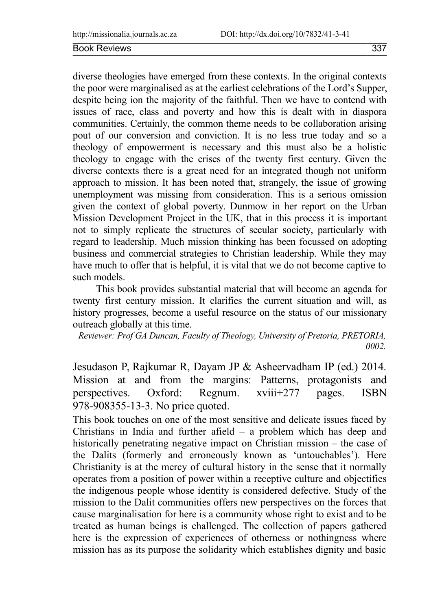diverse theologies have emerged from these contexts. In the original contexts the poor were marginalised as at the earliest celebrations of the Lord's Supper, despite being ion the majority of the faithful. Then we have to contend with issues of race, class and poverty and how this is dealt with in diaspora communities. Certainly, the common theme needs to be collaboration arising pout of our conversion and conviction. It is no less true today and so a theology of empowerment is necessary and this must also be a holistic theology to engage with the crises of the twenty first century. Given the diverse contexts there is a great need for an integrated though not uniform approach to mission. It has been noted that, strangely, the issue of growing unemployment was missing from consideration. This is a serious omission given the context of global poverty. Dunmow in her report on the Urban Mission Development Project in the UK, that in this process it is important not to simply replicate the structures of secular society, particularly with regard to leadership. Much mission thinking has been focussed on adopting business and commercial strategies to Christian leadership. While they may have much to offer that is helpful, it is vital that we do not become captive to such models.

This book provides substantial material that will become an agenda for twenty first century mission. It clarifies the current situation and will, as history progresses, become a useful resource on the status of our missionary outreach globally at this time.

*Reviewer: Prof GA Duncan, Faculty of Theology, University of Pretoria, PRETORIA, 0002.*

Jesudason P, Rajkumar R, Dayam JP & Asheervadham IP (ed.) 2014. Mission at and from the margins: Patterns, protagonists and perspectives. Oxford: Regnum. xviii+277 pages. ISBN 978-908355-13-3. No price quoted.

This book touches on one of the most sensitive and delicate issues faced by Christians in India and further afield – a problem which has deep and historically penetrating negative impact on Christian mission – the case of the Dalits (formerly and erroneously known as 'untouchables'). Here Christianity is at the mercy of cultural history in the sense that it normally operates from a position of power within a receptive culture and objectifies the indigenous people whose identity is considered defective. Study of the mission to the Dalit communities offers new perspectives on the forces that cause marginalisation for here is a community whose right to exist and to be treated as human beings is challenged. The collection of papers gathered here is the expression of experiences of otherness or nothingness where mission has as its purpose the solidarity which establishes dignity and basic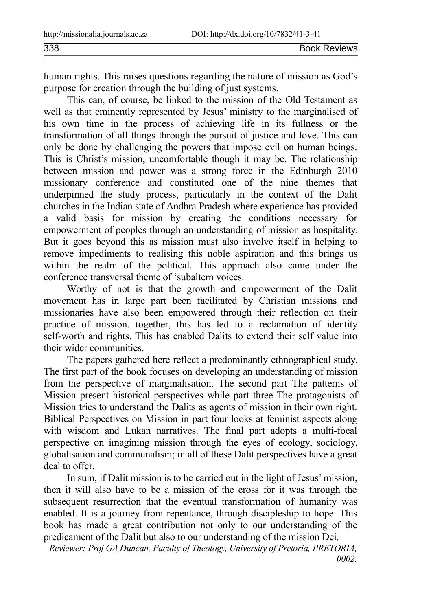338 Book Reviews

human rights. This raises questions regarding the nature of mission as God's purpose for creation through the building of just systems.

This can, of course, be linked to the mission of the Old Testament as well as that eminently represented by Jesus' ministry to the marginalised of his own time in the process of achieving life in its fullness or the transformation of all things through the pursuit of justice and love. This can only be done by challenging the powers that impose evil on human beings. This is Christ's mission, uncomfortable though it may be. The relationship between mission and power was a strong force in the Edinburgh 2010 missionary conference and constituted one of the nine themes that underpinned the study process, particularly in the context of the Dalit churches in the Indian state of Andhra Pradesh where experience has provided a valid basis for mission by creating the conditions necessary for empowerment of peoples through an understanding of mission as hospitality. But it goes beyond this as mission must also involve itself in helping to remove impediments to realising this noble aspiration and this brings us within the realm of the political. This approach also came under the conference transversal theme of 'subaltern voices.

Worthy of not is that the growth and empowerment of the Dalit movement has in large part been facilitated by Christian missions and missionaries have also been empowered through their reflection on their practice of mission. together, this has led to a reclamation of identity self-worth and rights. This has enabled Dalits to extend their self value into their wider communities.

The papers gathered here reflect a predominantly ethnographical study. The first part of the book focuses on developing an understanding of mission from the perspective of marginalisation. The second part The patterns of Mission present historical perspectives while part three The protagonists of Mission tries to understand the Dalits as agents of mission in their own right. Biblical Perspectives on Mission in part four looks at feminist aspects along with wisdom and Lukan narratives. The final part adopts a multi-focal perspective on imagining mission through the eyes of ecology, sociology, globalisation and communalism; in all of these Dalit perspectives have a great deal to offer.

In sum, if Dalit mission is to be carried out in the light of Jesus' mission, then it will also have to be a mission of the cross for it was through the subsequent resurrection that the eventual transformation of humanity was enabled. It is a journey from repentance, through discipleship to hope. This book has made a great contribution not only to our understanding of the predicament of the Dalit but also to our understanding of the mission Dei.

*Reviewer: Prof GA Duncan, Faculty of Theology, University of Pretoria, PRETORIA, 0002.*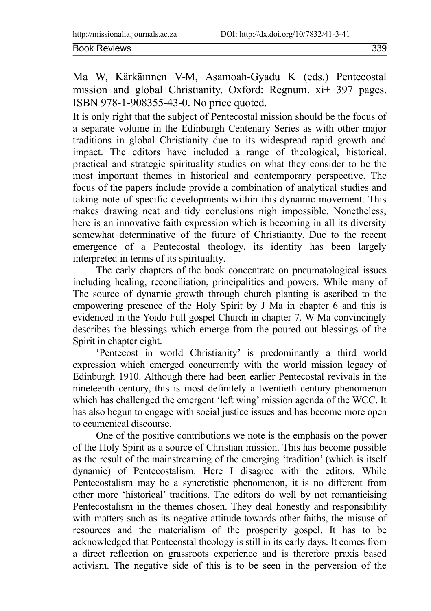Ma W, Kärkäinnen V-M, Asamoah-Gyadu K (eds.) Pentecostal mission and global Christianity. Oxford: Regnum. xi+ 397 pages. ISBN 978-1-908355-43-0. No price quoted.

It is only right that the subject of Pentecostal mission should be the focus of a separate volume in the Edinburgh Centenary Series as with other major traditions in global Christianity due to its widespread rapid growth and impact. The editors have included a range of theological, historical, practical and strategic spirituality studies on what they consider to be the most important themes in historical and contemporary perspective. The focus of the papers include provide a combination of analytical studies and taking note of specific developments within this dynamic movement. This makes drawing neat and tidy conclusions nigh impossible. Nonetheless, here is an innovative faith expression which is becoming in all its diversity somewhat determinative of the future of Christianity. Due to the recent emergence of a Pentecostal theology, its identity has been largely interpreted in terms of its spirituality.

The early chapters of the book concentrate on pneumatological issues including healing, reconciliation, principalities and powers. While many of The source of dynamic growth through church planting is ascribed to the empowering presence of the Holy Spirit by J Ma in chapter 6 and this is evidenced in the Yoido Full gospel Church in chapter 7. W Ma convincingly describes the blessings which emerge from the poured out blessings of the Spirit in chapter eight.

'Pentecost in world Christianity' is predominantly a third world expression which emerged concurrently with the world mission legacy of Edinburgh 1910. Although there had been earlier Pentecostal revivals in the nineteenth century, this is most definitely a twentieth century phenomenon which has challenged the emergent 'left wing' mission agenda of the WCC. It has also begun to engage with social justice issues and has become more open to ecumenical discourse.

One of the positive contributions we note is the emphasis on the power of the Holy Spirit as a source of Christian mission. This has become possible as the result of the mainstreaming of the emerging 'tradition' (which is itself dynamic) of Pentecostalism. Here I disagree with the editors. While Pentecostalism may be a syncretistic phenomenon, it is no different from other more 'historical' traditions. The editors do well by not romanticising Pentecostalism in the themes chosen. They deal honestly and responsibility with matters such as its negative attitude towards other faiths, the misuse of resources and the materialism of the prosperity gospel. It has to be acknowledged that Pentecostal theology is still in its early days. It comes from a direct reflection on grassroots experience and is therefore praxis based activism. The negative side of this is to be seen in the perversion of the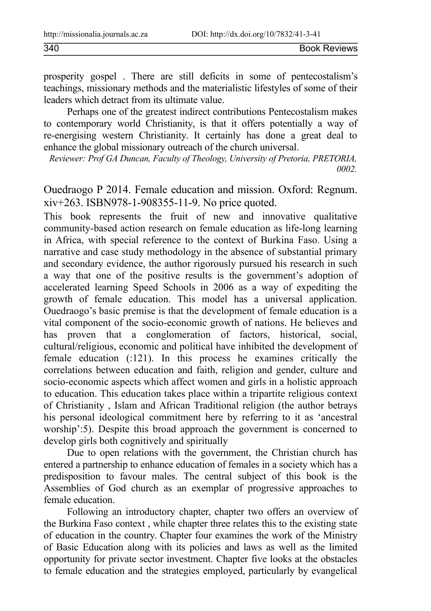prosperity gospel . There are still deficits in some of pentecostalism's teachings, missionary methods and the materialistic lifestyles of some of their leaders which detract from its ultimate value.

Perhaps one of the greatest indirect contributions Pentecostalism makes to contemporary world Christianity, is that it offers potentially a way of re-energising western Christianity. It certainly has done a great deal to enhance the global missionary outreach of the church universal.

*Reviewer: Prof GA Duncan, Faculty of Theology, University of Pretoria, PRETORIA, 0002.*

Ouedraogo P 2014. Female education and mission. Oxford: Regnum. xiv+263. ISBN978-1-908355-11-9. No price quoted.

This book represents the fruit of new and innovative qualitative community-based action research on female education as life-long learning in Africa, with special reference to the context of Burkina Faso. Using a narrative and case study methodology in the absence of substantial primary and secondary evidence, the author rigorously pursued his research in such a way that one of the positive results is the government's adoption of accelerated learning Speed Schools in 2006 as a way of expediting the growth of female education. This model has a universal application. Ouedraogo's basic premise is that the development of female education is a vital component of the socio-economic growth of nations. He believes and has proven that a conglomeration of factors, historical, social, cultural/religious, economic and political have inhibited the development of female education (:121). In this process he examines critically the correlations between education and faith, religion and gender, culture and socio-economic aspects which affect women and girls in a holistic approach to education. This education takes place within a tripartite religious context of Christianity , Islam and African Traditional religion (the author betrays his personal ideological commitment here by referring to it as 'ancestral worship':5). Despite this broad approach the government is concerned to develop girls both cognitively and spiritually

Due to open relations with the government, the Christian church has entered a partnership to enhance education of females in a society which has a predisposition to favour males. The central subject of this book is the Assemblies of God church as an exemplar of progressive approaches to female education.

Following an introductory chapter, chapter two offers an overview of the Burkina Faso context , while chapter three relates this to the existing state of education in the country. Chapter four examines the work of the Ministry of Basic Education along with its policies and laws as well as the limited opportunity for private sector investment. Chapter five looks at the obstacles to female education and the strategies employed, particularly by evangelical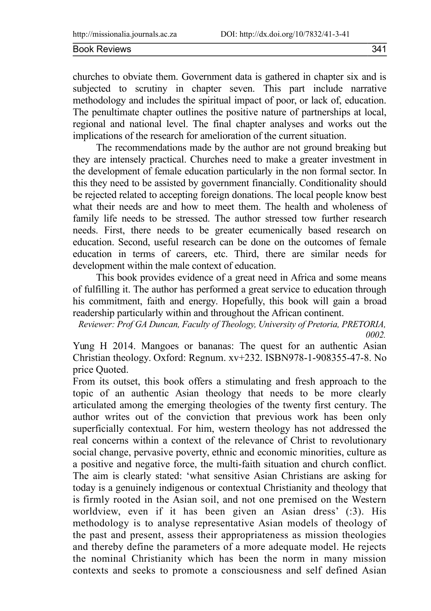churches to obviate them. Government data is gathered in chapter six and is subjected to scrutiny in chapter seven. This part include narrative methodology and includes the spiritual impact of poor, or lack of, education. The penultimate chapter outlines the positive nature of partnerships at local, regional and national level. The final chapter analyses and works out the implications of the research for amelioration of the current situation.

The recommendations made by the author are not ground breaking but they are intensely practical. Churches need to make a greater investment in the development of female education particularly in the non formal sector. In this they need to be assisted by government financially. Conditionality should be rejected related to accepting foreign donations. The local people know best what their needs are and how to meet them. The health and wholeness of family life needs to be stressed. The author stressed tow further research needs. First, there needs to be greater ecumenically based research on education. Second, useful research can be done on the outcomes of female education in terms of careers, etc. Third, there are similar needs for development within the male context of education.

This book provides evidence of a great need in Africa and some means of fulfilling it. The author has performed a great service to education through his commitment, faith and energy. Hopefully, this book will gain a broad readership particularly within and throughout the African continent.

*Reviewer: Prof GA Duncan, Faculty of Theology, University of Pretoria, PRETORIA, 0002.*

Yung H 2014. Mangoes or bananas: The quest for an authentic Asian Christian theology. Oxford: Regnum. xv+232. ISBN978-1-908355-47-8. No price Quoted.

From its outset, this book offers a stimulating and fresh approach to the topic of an authentic Asian theology that needs to be more clearly articulated among the emerging theologies of the twenty first century. The author writes out of the conviction that previous work has been only superficially contextual. For him, western theology has not addressed the real concerns within a context of the relevance of Christ to revolutionary social change, pervasive poverty, ethnic and economic minorities, culture as a positive and negative force, the multi-faith situation and church conflict. The aim is clearly stated: 'what sensitive Asian Christians are asking for today is a genuinely indigenous or contextual Christianity and theology that is firmly rooted in the Asian soil, and not one premised on the Western worldview, even if it has been given an Asian dress' (:3). His methodology is to analyse representative Asian models of theology of the past and present, assess their appropriateness as mission theologies and thereby define the parameters of a more adequate model. He rejects the nominal Christianity which has been the norm in many mission contexts and seeks to promote a consciousness and self defined Asian